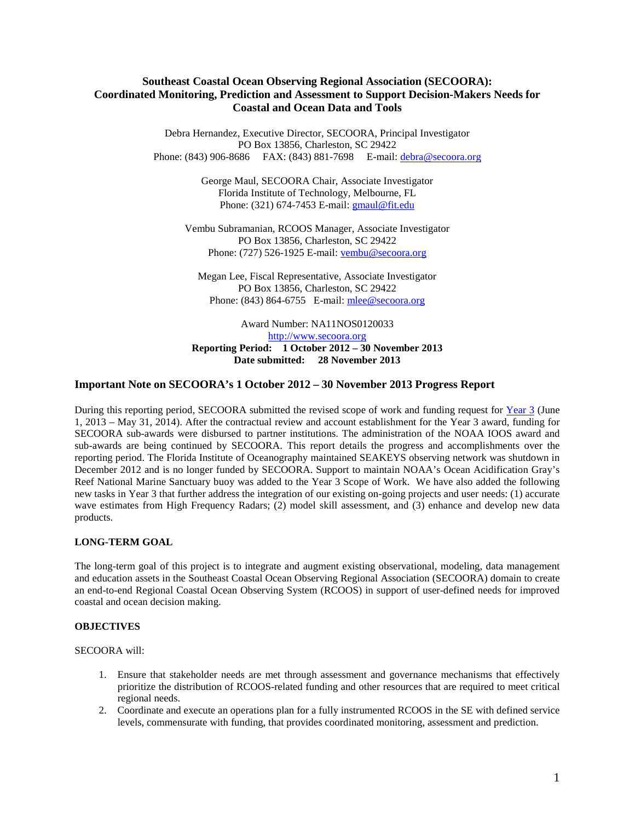# **Southeast Coastal Ocean Observing Regional Association (SECOORA): Coordinated Monitoring, Prediction and Assessment to Support Decision-Makers Needs for Coastal and Ocean Data and Tools**

Debra Hernandez, Executive Director, SECOORA, Principal Investigator PO Box 13856, Charleston, SC 29422 Phone: (843) 906-8686 FAX: (843) 881-7698 E-mail: [debra@secoora.org](mailto:debra@secoora.org)

> George Maul, SECOORA Chair, Associate Investigator Florida Institute of Technology, Melbourne, FL Phone: (321) 674-7453 E-mail: [gmaul@fit.edu](mailto:gmaul@fit.edu)

Vembu Subramanian, RCOOS Manager, Associate Investigator PO Box 13856, Charleston, SC 29422 Phone: (727) 526-1925 E-mail: [vembu@secoora.org](mailto:vembu@secoora.org)

Megan Lee, Fiscal Representative, Associate Investigator PO Box 13856, Charleston, SC 29422 Phone: (843) 864-6755 E-mail: [mlee@secoora.org](mailto:mlee@secoora.org)

Award Number: NA11NOS0120033 [http://www.secoora.org](http://www.secoora.org/) **Reporting Period: 1 October 2012 – 30 November 2013 Date submitted: 28 November 2013**

### **Important Note on SECOORA's 1 October 2012 – 30 November 2013 Progress Report**

During this reporting period, SECOORA submitted the revised scope of work and funding request for [Year 3](http://secoora.org/sites/default/files/webfm/members/documents/FY13_Descope_FINAL.pdf) (June 1, 2013 – May 31, 2014). After the contractual review and account establishment for the Year 3 award, funding for SECOORA sub-awards were disbursed to partner institutions. The administration of the NOAA IOOS award and sub-awards are being continued by SECOORA. This report details the progress and accomplishments over the reporting period. The Florida Institute of Oceanography maintained SEAKEYS observing network was shutdown in December 2012 and is no longer funded by SECOORA. Support to maintain NOAA's Ocean Acidification Gray's Reef National Marine Sanctuary buoy was added to the Year 3 Scope of Work. We have also added the following new tasks in Year 3 that further address the integration of our existing on-going projects and user needs: (1) accurate wave estimates from High Frequency Radars; (2) model skill assessment, and (3) enhance and develop new data products.

## **LONG-TERM GOAL**

The long-term goal of this project is to integrate and augment existing observational, modeling, data management and education assets in the Southeast Coastal Ocean Observing Regional Association (SECOORA) domain to create an end-to-end Regional Coastal Ocean Observing System (RCOOS) in support of user-defined needs for improved coastal and ocean decision making.

### **OBJECTIVES**

SECOORA will:

- 1. Ensure that stakeholder needs are met through assessment and governance mechanisms that effectively prioritize the distribution of RCOOS-related funding and other resources that are required to meet critical regional needs.
- 2. Coordinate and execute an operations plan for a fully instrumented RCOOS in the SE with defined service levels, commensurate with funding, that provides coordinated monitoring, assessment and prediction.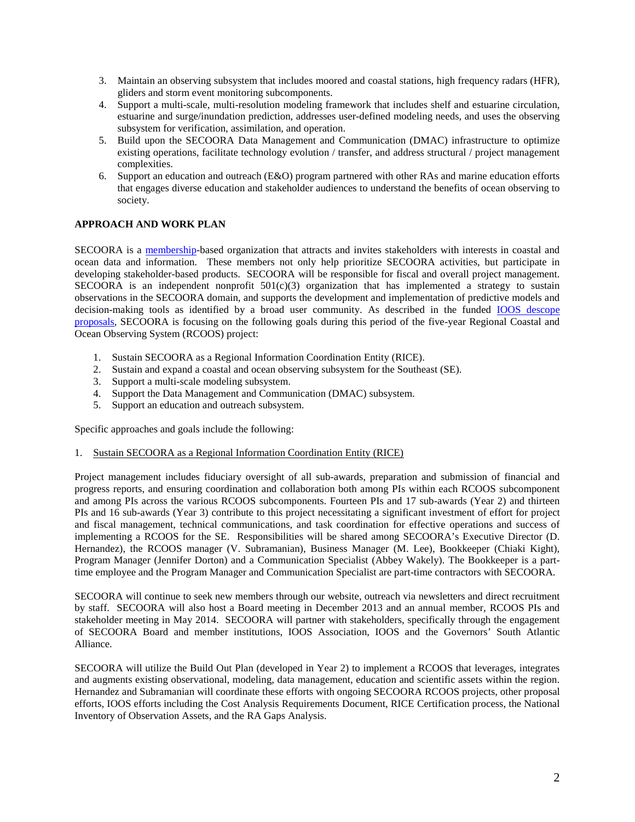- 3. Maintain an observing subsystem that includes moored and coastal stations, high frequency radars (HFR), gliders and storm event monitoring subcomponents.
- 4. Support a multi-scale, multi-resolution modeling framework that includes shelf and estuarine circulation, estuarine and surge/inundation prediction, addresses user-defined modeling needs, and uses the observing subsystem for verification, assimilation, and operation.
- 5. Build upon the SECOORA Data Management and Communication (DMAC) infrastructure to optimize existing operations, facilitate technology evolution / transfer, and address structural / project management complexities.
- 6. Support an education and outreach (E&O) program partnered with other RAs and marine education efforts that engages diverse education and stakeholder audiences to understand the benefits of ocean observing to society.

# **APPROACH AND WORK PLAN**

SECOORA is a [membership-](http://www.secoora.org/about/membership#http://www.secoora.org/about/membership)based organization that attracts and invites stakeholders with interests in coastal and ocean data and information. These members not only help prioritize SECOORA activities, but participate in developing stakeholder-based products. SECOORA will be responsible for fiscal and overall project management. SECOORA is an independent nonprofit 501(c)(3) organization that has implemented a strategy to sustain observations in the SECOORA domain, and supports the development and implementation of predictive models and decision-making tools as identified by a broad user community. As described in the funded [IOOS descope](http://secoora.org/about/theme_areas/projects)  [proposals,](http://secoora.org/about/theme_areas/projects) SECOORA is focusing on the following goals during this period of the five-year Regional Coastal and Ocean Observing System (RCOOS) project:

- 1. Sustain SECOORA as a Regional Information Coordination Entity (RICE).
- 2. Sustain and expand a coastal and ocean observing subsystem for the Southeast (SE).
- 3. Support a multi-scale modeling subsystem.
- 4. Support the Data Management and Communication (DMAC) subsystem.
- 5. Support an education and outreach subsystem.

Specific approaches and goals include the following:

### 1. Sustain SECOORA as a Regional Information Coordination Entity (RICE)

Project management includes fiduciary oversight of all sub-awards, preparation and submission of financial and progress reports, and ensuring coordination and collaboration both among PIs within each RCOOS subcomponent and among PIs across the various RCOOS subcomponents. Fourteen PIs and 17 sub-awards (Year 2) and thirteen PIs and 16 sub-awards (Year 3) contribute to this project necessitating a significant investment of effort for project and fiscal management, technical communications, and task coordination for effective operations and success of implementing a RCOOS for the SE. Responsibilities will be shared among SECOORA's Executive Director (D. Hernandez), the RCOOS manager (V. Subramanian), Business Manager (M. Lee), Bookkeeper (Chiaki Kight), Program Manager (Jennifer Dorton) and a Communication Specialist (Abbey Wakely). The Bookkeeper is a parttime employee and the Program Manager and Communication Specialist are part-time contractors with SECOORA.

SECOORA will continue to seek new members through our website, outreach via newsletters and direct recruitment by staff. SECOORA will also host a Board meeting in December 2013 and an annual member, RCOOS PIs and stakeholder meeting in May 2014. SECOORA will partner with stakeholders, specifically through the engagement of SECOORA Board and member institutions, IOOS Association, IOOS and the Governors' South Atlantic Alliance.

SECOORA will utilize the Build Out Plan (developed in Year 2) to implement a RCOOS that leverages, integrates and augments existing observational, modeling, data management, education and scientific assets within the region. Hernandez and Subramanian will coordinate these efforts with ongoing SECOORA RCOOS projects, other proposal efforts, IOOS efforts including the Cost Analysis Requirements Document, RICE Certification process, the National Inventory of Observation Assets, and the RA Gaps Analysis.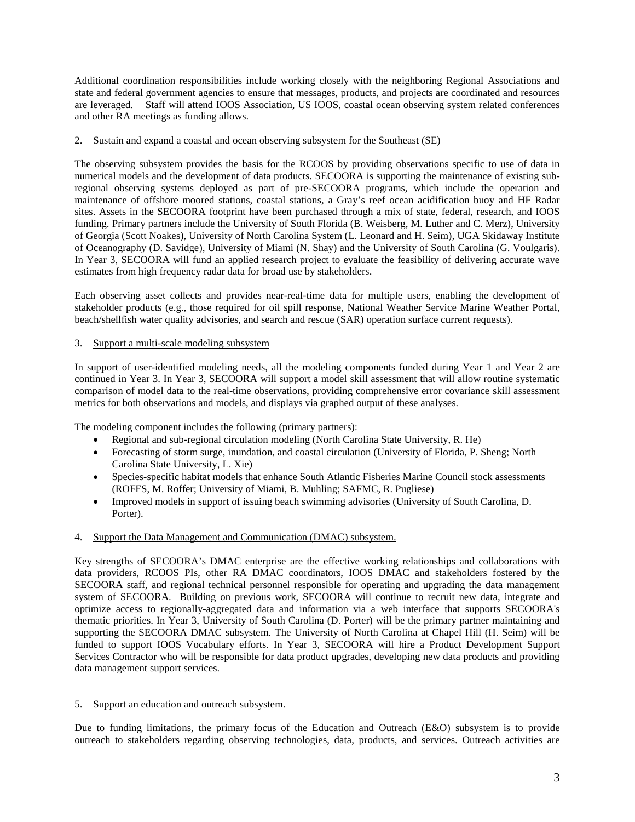Additional coordination responsibilities include working closely with the neighboring Regional Associations and state and federal government agencies to ensure that messages, products, and projects are coordinated and resources are leveraged. Staff will attend IOOS Association, US IOOS, coastal ocean observing system related conferences and other RA meetings as funding allows.

## 2. Sustain and expand a coastal and ocean observing subsystem for the Southeast (SE)

The observing subsystem provides the basis for the RCOOS by providing observations specific to use of data in numerical models and the development of data products. SECOORA is supporting the maintenance of existing subregional observing systems deployed as part of pre-SECOORA programs, which include the operation and maintenance of offshore moored stations, coastal stations, a Gray's reef ocean acidification buoy and HF Radar sites. Assets in the SECOORA footprint have been purchased through a mix of state, federal, research, and IOOS funding. Primary partners include the University of South Florida (B. Weisberg, M. Luther and C. Merz), University of Georgia (Scott Noakes), University of North Carolina System (L. Leonard and H. Seim), UGA Skidaway Institute of Oceanography (D. Savidge), University of Miami (N. Shay) and the University of South Carolina (G. Voulgaris). In Year 3, SECOORA will fund an applied research project to evaluate the feasibility of delivering accurate wave estimates from high frequency radar data for broad use by stakeholders.

Each observing asset collects and provides near-real-time data for multiple users, enabling the development of stakeholder products (e.g., those required for oil spill response, National Weather Service Marine Weather Portal, beach/shellfish water quality advisories, and search and rescue (SAR) operation surface current requests).

# 3. Support a multi-scale modeling subsystem

In support of user-identified modeling needs, all the modeling components funded during Year 1 and Year 2 are continued in Year 3. In Year 3, SECOORA will support a model skill assessment that will allow routine systematic comparison of model data to the real-time observations, providing comprehensive error covariance skill assessment metrics for both observations and models, and displays via graphed output of these analyses.

The modeling component includes the following (primary partners):

- Regional and sub-regional circulation modeling (North Carolina State University, R. He)
- Forecasting of storm surge, inundation, and coastal circulation (University of Florida, P. Sheng; North Carolina State University, L. Xie)
- Species-specific habitat models that enhance South Atlantic Fisheries Marine Council stock assessments (ROFFS, M. Roffer; University of Miami, B. Muhling; SAFMC, R. Pugliese)
- Improved models in support of issuing beach swimming advisories (University of South Carolina, D. Porter).

## 4. Support the Data Management and Communication (DMAC) subsystem.

Key strengths of SECOORA's DMAC enterprise are the effective working relationships and collaborations with data providers, RCOOS PIs, other RA DMAC coordinators, IOOS DMAC and stakeholders fostered by the SECOORA staff, and regional technical personnel responsible for operating and upgrading the data management system of SECOORA. Building on previous work, SECOORA will continue to recruit new data, integrate and optimize access to regionally-aggregated data and information via a web interface that supports SECOORA's thematic priorities. In Year 3, University of South Carolina (D. Porter) will be the primary partner maintaining and supporting the SECOORA DMAC subsystem. The University of North Carolina at Chapel Hill (H. Seim) will be funded to support IOOS Vocabulary efforts. In Year 3, SECOORA will hire a Product Development Support Services Contractor who will be responsible for data product upgrades, developing new data products and providing data management support services.

## 5. Support an education and outreach subsystem.

Due to funding limitations, the primary focus of the Education and Outreach (E&O) subsystem is to provide outreach to stakeholders regarding observing technologies, data, products, and services. Outreach activities are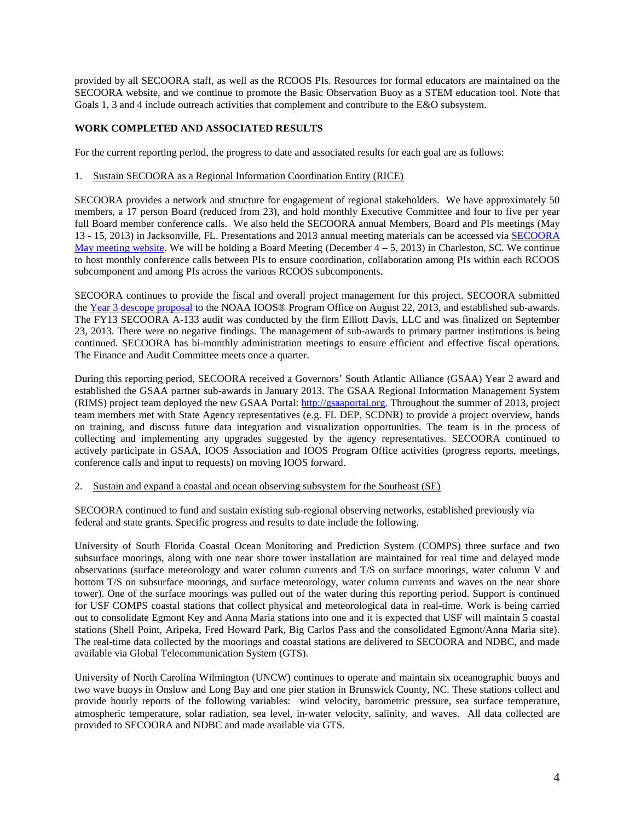provided by all SECOORA staff, as well as the RCOOS PIs. Resources for formal educators are maintained on the SECOORA website, and we continue to promote the Basic Observation Buoy as a STEM education tool. Note that Goals 1, 3 and 4 include outreach activities that complement and contribute to the E&O subsystem.

# **WORK COMPLETED AND ASSOCIATED RESULTS**

For the current reporting period, the progress to date and associated results for each goal are as follows:

### 1. Sustain SECOORA as a Regional Information Coordination Entity (RICE)

SECOORA provides a network and structure for engagement of regional stakeholders. We have approximately 50 members, a 17 person Board (reduced from 23), and hold monthly Executive Committee and four to five per year full Board member conference calls. We also held the SECOORA annual Members, Board and PIs meetings (May 13 - 15, 2013) in Jacksonville, FL. Presentations and 2013 annual meeting materials can be accessed via [SECOORA](http://secoora.org/node/387)  [May meeting website.](http://secoora.org/node/387) We will be holding a Board Meeting (December  $4 - 5$ , 2013) in Charleston, SC. We continue to host monthly conference calls between PIs to ensure coordination, collaboration among PIs within each RCOOS subcomponent and among PIs across the various RCOOS subcomponents.

SECOORA continues to provide the fiscal and overall project management for this project. SECOORA submitted the [Year 3 descope proposal](http://secoora.org/sites/default/files/webfm/members/documents/FY13_Descope_FINAL.pdf) to the NOAA IOOS® Program Office on August 22, 2013, and established sub-awards. The FY13 SECOORA A-133 audit was conducted by the firm Elliott Davis, LLC and was finalized on September 23, 2013. There were no negative findings. The management of sub-awards to primary partner institutions is being continued. SECOORA has bi-monthly administration meetings to ensure efficient and effective fiscal operations. The Finance and Audit Committee meets once a quarter.

During this reporting period, SECOORA received a Governors' South Atlantic Alliance (GSAA) Year 2 award and established the GSAA partner sub-awards in January 2013. The GSAA Regional Information Management System (RIMS) project team deployed the new GSAA Portal[: http://gsaaportal.org.](http://gsaaportal.org/) Throughout the summer of 2013, project team members met with State Agency representatives (e.g. FL DEP, SCDNR) to provide a project overview, hands on training, and discuss future data integration and visualization opportunities. The team is in the process of collecting and implementing any upgrades suggested by the agency representatives. SECOORA continued to actively participate in GSAA, IOOS Association and IOOS Program Office activities (progress reports, meetings, conference calls and input to requests) on moving IOOS forward.

### 2. Sustain and expand a coastal and ocean observing subsystem for the Southeast (SE)

SECOORA continued to fund and sustain existing sub-regional observing networks, established previously via federal and state grants. Specific progress and results to date include the following.

University of South Florida Coastal Ocean Monitoring and Prediction System (COMPS) three surface and two subsurface moorings, along with one near shore tower installation are maintained for real time and delayed mode observations (surface meteorology and water column currents and T/S on surface moorings, water column V and bottom T/S on subsurface moorings, and surface meteorology, water column currents and waves on the near shore tower). One of the surface moorings was pulled out of the water during this reporting period. Support is continued for USF COMPS coastal stations that collect physical and meteorological data in real-time. Work is being carried out to consolidate Egmont Key and Anna Maria stations into one and it is expected that USF will maintain 5 coastal stations (Shell Point, Aripeka, Fred Howard Park, Big Carlos Pass and the consolidated Egmont/Anna Maria site). The real-time data collected by the moorings and coastal stations are delivered to SECOORA and NDBC, and made available via Global Telecommunication System (GTS).

University of North Carolina Wilmington (UNCW) continues to operate and maintain six oceanographic buoys and two wave buoys in Onslow and Long Bay and one pier station in Brunswick County, NC. These stations collect and provide hourly reports of the following variables: wind velocity, barometric pressure, sea surface temperature, atmospheric temperature, solar radiation, sea level, in‐water velocity, salinity, and waves. All data collected are provided to SECOORA and NDBC and made available via GTS.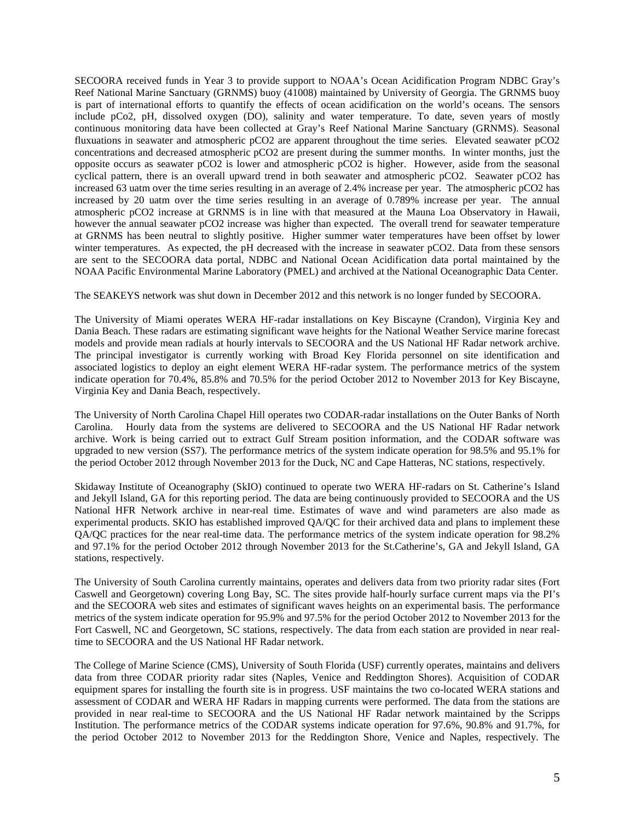SECOORA received funds in Year 3 to provide support to NOAA's Ocean Acidification Program NDBC Gray's Reef National Marine Sanctuary (GRNMS) buoy (41008) maintained by University of Georgia. The GRNMS buoy is part of international efforts to quantify the effects of ocean acidification on the world's oceans. The sensors include pCo2, pH, dissolved oxygen (DO), salinity and water temperature. To date, seven years of mostly continuous monitoring data have been collected at Gray's Reef National Marine Sanctuary (GRNMS). Seasonal fluxuations in seawater and atmospheric pCO2 are apparent throughout the time series. Elevated seawater pCO2 concentrations and decreased atmospheric pCO2 are present during the summer months. In winter months, just the opposite occurs as seawater pCO2 is lower and atmospheric pCO2 is higher. However, aside from the seasonal cyclical pattern, there is an overall upward trend in both seawater and atmospheric pCO2. Seawater pCO2 has increased 63 uatm over the time series resulting in an average of 2.4% increase per year. The atmospheric pCO2 has increased by 20 uatm over the time series resulting in an average of 0.789% increase per year. The annual atmospheric pCO2 increase at GRNMS is in line with that measured at the Mauna Loa Observatory in Hawaii, however the annual seawater pCO2 increase was higher than expected. The overall trend for seawater temperature at GRNMS has been neutral to slightly positive. Higher summer water temperatures have been offset by lower winter temperatures. As expected, the pH decreased with the increase in seawater pCO2. Data from these sensors are sent to the SECOORA data portal, NDBC and National Ocean Acidification data portal maintained by the NOAA Pacific Environmental Marine Laboratory (PMEL) and archived at the National Oceanographic Data Center.

The SEAKEYS network was shut down in December 2012 and this network is no longer funded by SECOORA.

The University of Miami operates WERA HF-radar installations on Key Biscayne (Crandon), Virginia Key and Dania Beach. These radars are estimating significant wave heights for the National Weather Service marine forecast models and provide mean radials at hourly intervals to SECOORA and the US National HF Radar network archive. The principal investigator is currently working with Broad Key Florida personnel on site identification and associated logistics to deploy an eight element WERA HF-radar system. The performance metrics of the system indicate operation for 70.4%, 85.8% and 70.5% for the period October 2012 to November 2013 for Key Biscayne, Virginia Key and Dania Beach, respectively.

The University of North Carolina Chapel Hill operates two CODAR-radar installations on the Outer Banks of North Carolina. Hourly data from the systems are delivered to SECOORA and the US National HF Radar network archive. Work is being carried out to extract Gulf Stream position information, and the CODAR software was upgraded to new version (SS7). The performance metrics of the system indicate operation for 98.5% and 95.1% for the period October 2012 through November 2013 for the Duck, NC and Cape Hatteras, NC stations, respectively.

Skidaway Institute of Oceanography (SkIO) continued to operate two WERA HF-radars on St. Catherine's Island and Jekyll Island, GA for this reporting period. The data are being continuously provided to SECOORA and the US National HFR Network archive in near-real time. Estimates of wave and wind parameters are also made as experimental products. SKIO has established improved QA/QC for their archived data and plans to implement these QA/QC practices for the near real-time data. The performance metrics of the system indicate operation for 98.2% and 97.1% for the period October 2012 through November 2013 for the St.Catherine's, GA and Jekyll Island, GA stations, respectively.

The University of South Carolina currently maintains, operates and delivers data from two priority radar sites (Fort Caswell and Georgetown) covering Long Bay, SC. The sites provide half-hourly surface current maps via the PI's and the SECOORA web sites and estimates of significant waves heights on an experimental basis. The performance metrics of the system indicate operation for 95.9% and 97.5% for the period October 2012 to November 2013 for the Fort Caswell, NC and Georgetown, SC stations, respectively. The data from each station are provided in near realtime to SECOORA and the US National HF Radar network.

The College of Marine Science (CMS), University of South Florida (USF) currently operates, maintains and delivers data from three CODAR priority radar sites (Naples, Venice and Reddington Shores). Acquisition of CODAR equipment spares for installing the fourth site is in progress. USF maintains the two co-located WERA stations and assessment of CODAR and WERA HF Radars in mapping currents were performed. The data from the stations are provided in near real-time to SECOORA and the US National HF Radar network maintained by the Scripps Institution. The performance metrics of the CODAR systems indicate operation for 97.6%, 90.8% and 91.7%, for the period October 2012 to November 2013 for the Reddington Shore, Venice and Naples, respectively. The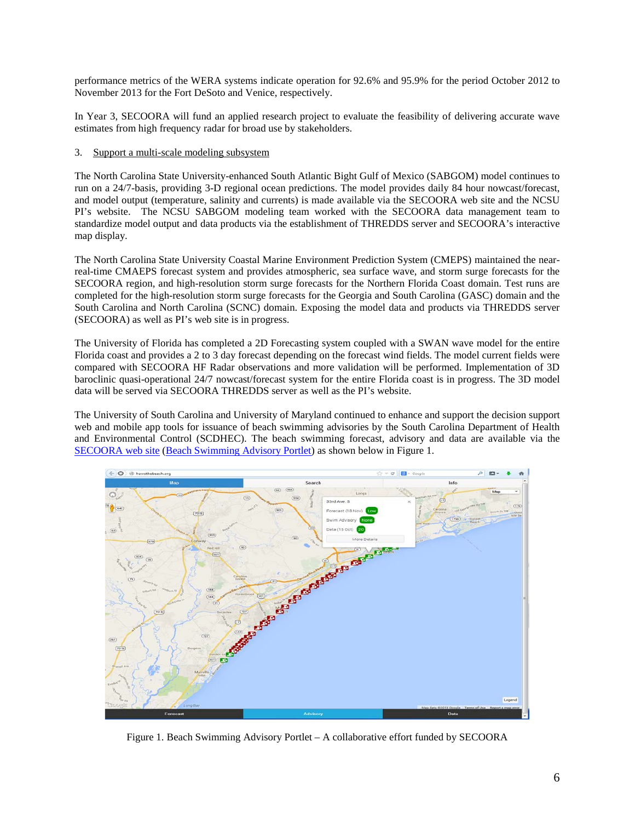performance metrics of the WERA systems indicate operation for 92.6% and 95.9% for the period October 2012 to November 2013 for the Fort DeSoto and Venice, respectively.

In Year 3, SECOORA will fund an applied research project to evaluate the feasibility of delivering accurate wave estimates from high frequency radar for broad use by stakeholders.

## 3. Support a multi-scale modeling subsystem

The North Carolina State University-enhanced South Atlantic Bight Gulf of Mexico (SABGOM) model continues to run on a 24/7-basis, providing 3-D regional ocean predictions. The model provides daily 84 hour nowcast/forecast, and model output (temperature, salinity and currents) is made available via the SECOORA web site and the NCSU PI's website. The NCSU SABGOM modeling team worked with the SECOORA data management team to standardize model output and data products via the establishment of THREDDS server and SECOORA's interactive map display.

The North Carolina State University Coastal Marine Environment Prediction System (CMEPS) maintained the nearreal-time CMAEPS forecast system and provides atmospheric, sea surface wave, and storm surge forecasts for the SECOORA region, and high-resolution storm surge forecasts for the Northern Florida Coast domain. Test runs are completed for the high-resolution storm surge forecasts for the Georgia and South Carolina (GASC) domain and the South Carolina and North Carolina (SCNC) domain. Exposing the model data and products via THREDDS server (SECOORA) as well as PI's web site is in progress.

The University of Florida has completed a 2D Forecasting system coupled with a SWAN wave model for the entire Florida coast and provides a 2 to 3 day forecast depending on the forecast wind fields. The model current fields were compared with SECOORA HF Radar observations and more validation will be performed. Implementation of 3D baroclinic quasi-operational 24/7 nowcast/forecast system for the entire Florida coast is in progress. The 3D model data will be served via SECOORA THREDDS server as well as the PI's website.

The University of South Carolina and University of Maryland continued to enhance and support the decision support web and mobile app tools for issuance of beach swimming advisories by the South Carolina Department of Health and Environmental Control (SCDHEC). The beach swimming forecast, advisory and data are available via the [SECOORA web site](http://secoora.org/projects/beach_wq) [\(Beach Swimming](http://howsthebeach.org/) Advisory Portlet) as shown below in Figure 1.



Figure 1. Beach Swimming Advisory Portlet – A collaborative effort funded by SECOORA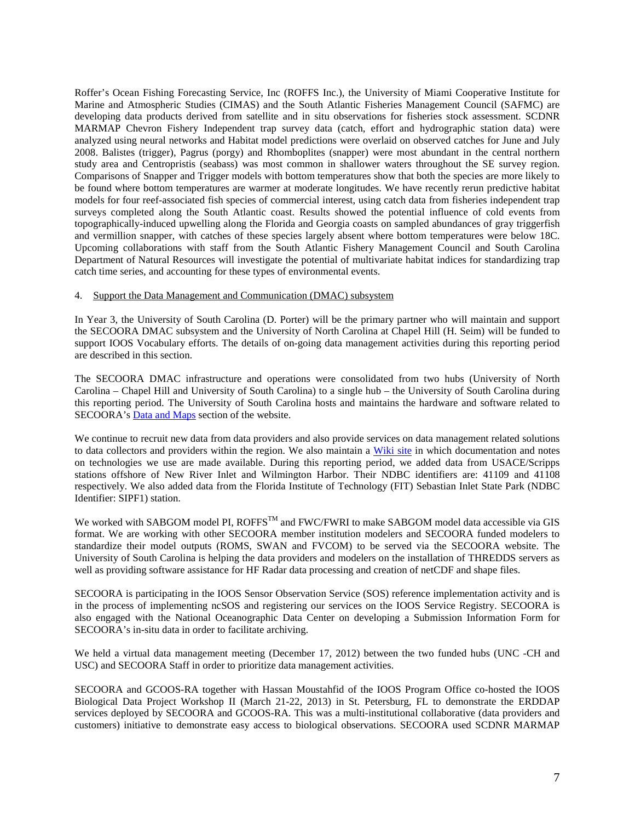Roffer's Ocean Fishing Forecasting Service, Inc (ROFFS Inc.), the University of Miami Cooperative Institute for Marine and Atmospheric Studies (CIMAS) and the South Atlantic Fisheries Management Council (SAFMC) are developing data products derived from satellite and in situ observations for fisheries stock assessment. SCDNR MARMAP Chevron Fishery Independent trap survey data (catch, effort and hydrographic station data) were analyzed using neural networks and Habitat model predictions were overlaid on observed catches for June and July 2008. Balistes (trigger), Pagrus (porgy) and Rhomboplites (snapper) were most abundant in the central northern study area and Centropristis (seabass) was most common in shallower waters throughout the SE survey region. Comparisons of Snapper and Trigger models with bottom temperatures show that both the species are more likely to be found where bottom temperatures are warmer at moderate longitudes. We have recently rerun predictive habitat models for four reef-associated fish species of commercial interest, using catch data from fisheries independent trap surveys completed along the South Atlantic coast. Results showed the potential influence of cold events from topographically-induced upwelling along the Florida and Georgia coasts on sampled abundances of gray triggerfish and vermillion snapper, with catches of these species largely absent where bottom temperatures were below 18C. Upcoming collaborations with staff from the South Atlantic Fishery Management Council and South Carolina Department of Natural Resources will investigate the potential of multivariate habitat indices for standardizing trap catch time series, and accounting for these types of environmental events.

### 4. Support the Data Management and Communication (DMAC) subsystem

In Year 3, the University of South Carolina (D. Porter) will be the primary partner who will maintain and support the SECOORA DMAC subsystem and the University of North Carolina at Chapel Hill (H. Seim) will be funded to support IOOS Vocabulary efforts. The details of on-going data management activities during this reporting period are described in this section.

The SECOORA DMAC infrastructure and operations were consolidated from two hubs (University of North Carolina – Chapel Hill and University of South Carolina) to a single hub – the University of South Carolina during this reporting period. The University of South Carolina hosts and maintains the hardware and software related to SECOORA's [Data and Maps](http://secoora.org/maps/) section of the website.

We continue to recruit new data from data providers and also provide services on data management related solutions to data collectors and providers within the region. We also maintain a [Wiki site](http://code.google.com/p/xenia/wiki/XeniaHome) in which documentation and notes on technologies we use are made available. During this reporting period, we added data from USACE/Scripps stations offshore of New River Inlet and Wilmington Harbor. Their NDBC identifiers are: 41109 and 41108 respectively. We also added data from the Florida Institute of Technology (FIT) Sebastian Inlet State Park (NDBC Identifier: SIPF1) station.

We worked with SABGOM model PI, ROFFS<sup>TM</sup> and FWC/FWRI to make SABGOM model data accessible via GIS format. We are working with other SECOORA member institution modelers and SECOORA funded modelers to standardize their model outputs (ROMS, SWAN and FVCOM) to be served via the SECOORA website. The University of South Carolina is helping the data providers and modelers on the installation of THREDDS servers as well as providing software assistance for HF Radar data processing and creation of netCDF and shape files.

SECOORA is participating in the IOOS Sensor Observation Service (SOS) reference implementation activity and is in the process of implementing ncSOS and registering our services on the IOOS Service Registry. SECOORA is also engaged with the National Oceanographic Data Center on developing a Submission Information Form for SECOORA's in-situ data in order to facilitate archiving.

We held a virtual data management meeting (December 17, 2012) between the two funded hubs (UNC -CH and USC) and SECOORA Staff in order to prioritize data management activities.

SECOORA and GCOOS-RA together with Hassan Moustahfid of the IOOS Program Office co-hosted the IOOS Biological Data Project Workshop II (March 21-22, 2013) in St. Petersburg, FL to demonstrate the ERDDAP services deployed by SECOORA and GCOOS-RA. This was a multi-institutional collaborative (data providers and customers) initiative to demonstrate easy access to biological observations. SECOORA used SCDNR MARMAP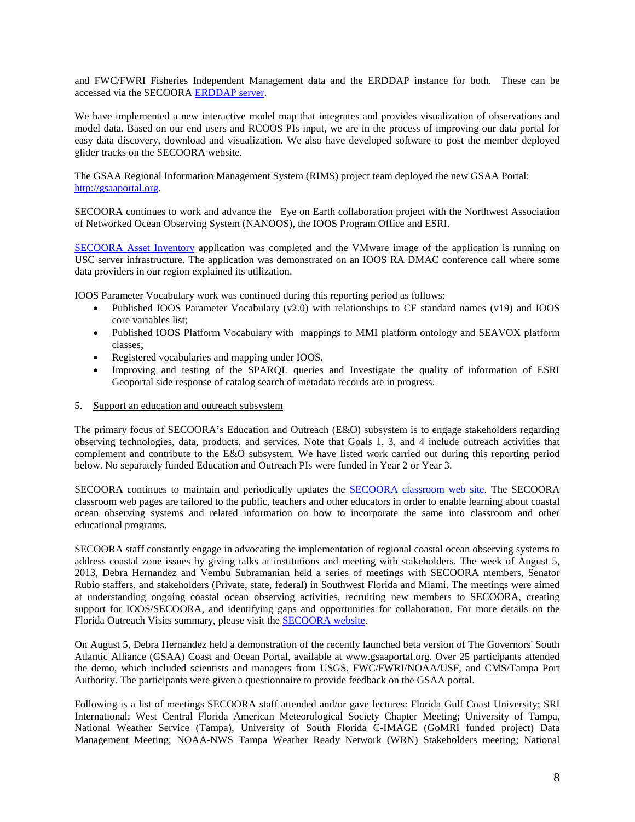and FWC/FWRI Fisheries Independent Management data and the ERDDAP instance for both. These can be accessed via the SECOORA [ERDDAP server.](http://secoora.org/node/394)

We have implemented a new interactive model map that integrates and provides visualization of observations and model data. Based on our end users and RCOOS PIs input, we are in the process of improving our data portal for easy data discovery, download and visualization. We also have developed software to post the member deployed glider tracks on the SECOORA website.

The GSAA Regional Information Management System (RIMS) project team deployed the new GSAA Portal: [http://gsaaportal.org.](http://gsaaportal.org/)

SECOORA continues to work and advance the Eye on Earth collaboration project with the Northwest Association of Networked Ocean Observing System (NANOOS), the IOOS Program Office and ESRI.

[SECOORA Asset Inventory](http://inventory.secoora.org/) application was completed and the VMware image of the application is running on USC server infrastructure. The application was demonstrated on an IOOS RA DMAC conference call where some data providers in our region explained its utilization.

IOOS Parameter Vocabulary work was continued during this reporting period as follows:

- Published IOOS Parameter Vocabulary (v2.0) with relationships to CF standard names (v19) and IOOS core variables list;
- Published IOOS Platform Vocabulary with mappings to MMI platform ontology and SEAVOX platform classes;
- Registered vocabularies and mapping under IOOS.
- Improving and testing of the SPARQL queries and Investigate the quality of information of ESRI Geoportal side response of catalog search of metadata records are in progress.
- 5. Support an education and outreach subsystem

The primary focus of SECOORA's Education and Outreach (E&O) subsystem is to engage stakeholders regarding observing technologies, data, products, and services. Note that Goals 1, 3, and 4 include outreach activities that complement and contribute to the E&O subsystem. We have listed work carried out during this reporting period below. No separately funded Education and Outreach PIs were funded in Year 2 or Year 3.

SECOORA continues to maintain and periodically updates the [SECOORA classroom web site.](http://secoora.org/classroom) The SECOORA classroom web pages are tailored to the public, teachers and other educators in order to enable learning about coastal ocean observing systems and related information on how to incorporate the same into classroom and other educational programs.

SECOORA staff constantly engage in advocating the implementation of regional coastal ocean observing systems to address coastal zone issues by giving talks at institutions and meeting with stakeholders. The week of August 5, 2013, Debra Hernandez and Vembu Subramanian held a series of meetings with SECOORA members, Senator Rubio staffers, and stakeholders (Private, state, federal) in Southwest Florida and Miami. The meetings were aimed at understanding ongoing coastal ocean observing activities, recruiting new members to SECOORA, creating support for IOOS/SECOORA, and identifying gaps and opportunities for collaboration. For more details on the Florida Outreach Visits summary, please visit the [SECOORA website.](http://secoora.org/node/393)

On August 5, Debra Hernandez held a demonstration of the recently launched beta version of The Governors' South Atlantic Alliance (GSAA) Coast and Ocean Portal, available at www.gsaaportal.org. Over 25 participants attended the demo, which included scientists and managers from USGS, FWC/FWRI/NOAA/USF, and CMS/Tampa Port Authority. The participants were given a questionnaire to provide feedback on the GSAA portal.

Following is a list of meetings SECOORA staff attended and/or gave lectures: Florida Gulf Coast University; SRI International; West Central Florida American Meteorological Society Chapter Meeting; University of Tampa, National Weather Service (Tampa), University of South Florida C-IMAGE (GoMRI funded project) Data Management Meeting; NOAA-NWS Tampa Weather Ready Network (WRN) Stakeholders meeting; National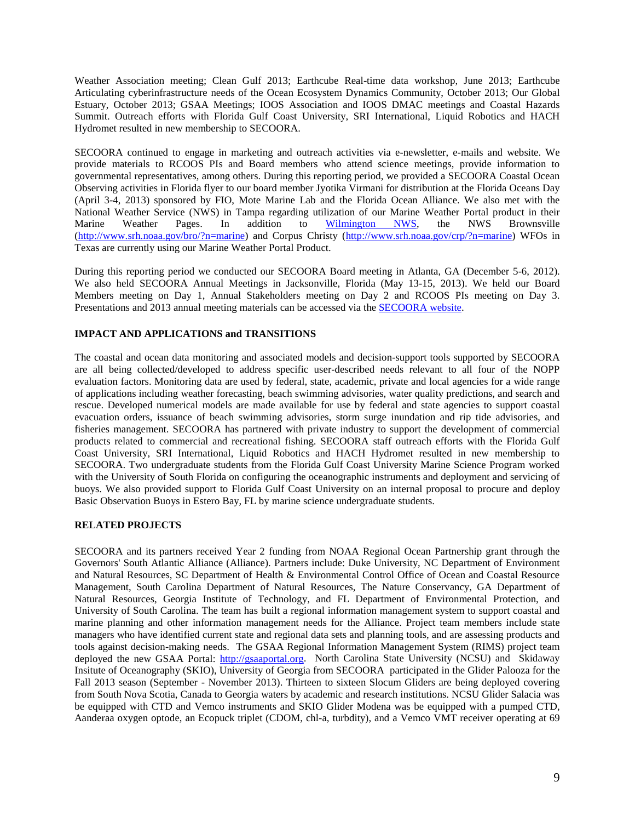Weather Association meeting; Clean Gulf 2013; Earthcube Real-time data workshop, June 2013; Earthcube Articulating cyberinfrastructure needs of the Ocean Ecosystem Dynamics Community, October 2013; Our Global Estuary, October 2013; GSAA Meetings; IOOS Association and IOOS DMAC meetings and Coastal Hazards Summit. Outreach efforts with Florida Gulf Coast University, SRI International, Liquid Robotics and HACH Hydromet resulted in new membership to SECOORA.

SECOORA continued to engage in marketing and outreach activities via e-newsletter, e-mails and website. We provide materials to RCOOS PIs and Board members who attend science meetings, provide information to governmental representatives, among others. During this reporting period, we provided a SECOORA Coastal Ocean Observing activities in Florida flyer to our board member Jyotika Virmani for distribution at the Florida Oceans Day (April 3-4, 2013) sponsored by FIO, Mote Marine Lab and the Florida Ocean Alliance. We also met with the National Weather Service (NWS) in Tampa regarding utilization of our Marine Weather Portal product in their Marine Weather Pages. In addition to [Wilmington NWS,](http://www.weather.gov/ilm/marine) the NWS Brownsville [\(http://www.srh.noaa.gov/bro/?n=marine\)](http://www.srh.noaa.gov/bro/?n=marine) and Corpus Christy [\(http://www.srh.noaa.gov/crp/?n=marine\)](http://www.srh.noaa.gov/crp/?n=marine) WFOs in Texas are currently using our Marine Weather Portal Product.

During this reporting period we conducted our SECOORA Board meeting in Atlanta, GA (December 5-6, 2012). We also held SECOORA Annual Meetings in Jacksonville, Florida (May 13-15, 2013). We held our Board Members meeting on Day 1, Annual Stakeholders meeting on Day 2 and RCOOS PIs meeting on Day 3. Presentations and 2013 annual meeting materials can be accessed via the [SECOORA website.](http://secoora.org/node/387)

# **IMPACT AND APPLICATIONS and TRANSITIONS**

The coastal and ocean data monitoring and associated models and decision-support tools supported by SECOORA are all being collected/developed to address specific user-described needs relevant to all four of the NOPP evaluation factors. Monitoring data are used by federal, state, academic, private and local agencies for a wide range of applications including weather forecasting, beach swimming advisories, water quality predictions, and search and rescue. Developed numerical models are made available for use by federal and state agencies to support coastal evacuation orders, issuance of beach swimming advisories, storm surge inundation and rip tide advisories, and fisheries management. SECOORA has partnered with private industry to support the development of commercial products related to commercial and recreational fishing. SECOORA staff outreach efforts with the Florida Gulf Coast University, SRI International, Liquid Robotics and HACH Hydromet resulted in new membership to SECOORA. Two undergraduate students from the Florida Gulf Coast University Marine Science Program worked with the University of South Florida on configuring the oceanographic instruments and deployment and servicing of buoys. We also provided support to Florida Gulf Coast University on an internal proposal to procure and deploy Basic Observation Buoys in Estero Bay, FL by marine science undergraduate students.

## **RELATED PROJECTS**

SECOORA and its partners received Year 2 funding from NOAA Regional Ocean Partnership grant through the Governors' South Atlantic Alliance (Alliance). Partners include: Duke University, NC Department of Environment and Natural Resources, SC Department of Health & Environmental Control Office of Ocean and Coastal Resource Management, South Carolina Department of Natural Resources, The Nature Conservancy, GA Department of Natural Resources, Georgia Institute of Technology, and FL Department of Environmental Protection, and University of South Carolina. The team has built a regional information management system to support coastal and marine planning and other information management needs for the Alliance. Project team members include state managers who have identified current state and regional data sets and planning tools, and are assessing products and tools against decision-making needs. The GSAA Regional Information Management System (RIMS) project team deployed the new GSAA Portal: [http://gsaaportal.org.](http://gsaaportal.org/) North Carolina State University (NCSU) and Skidaway Insitute of Oceanography (SKIO), University of Georgia from SECOORA participated in the Glider Palooza for the Fall 2013 season (September - November 2013). Thirteen to sixteen Slocum Gliders are being deployed covering from South Nova Scotia, Canada to Georgia waters by academic and research institutions. NCSU Glider Salacia was be equipped with CTD and Vemco instruments and SKIO Glider Modena was be equipped with a pumped CTD, Aanderaa oxygen optode, an Ecopuck triplet (CDOM, chl-a, turbdity), and a Vemco VMT receiver operating at 69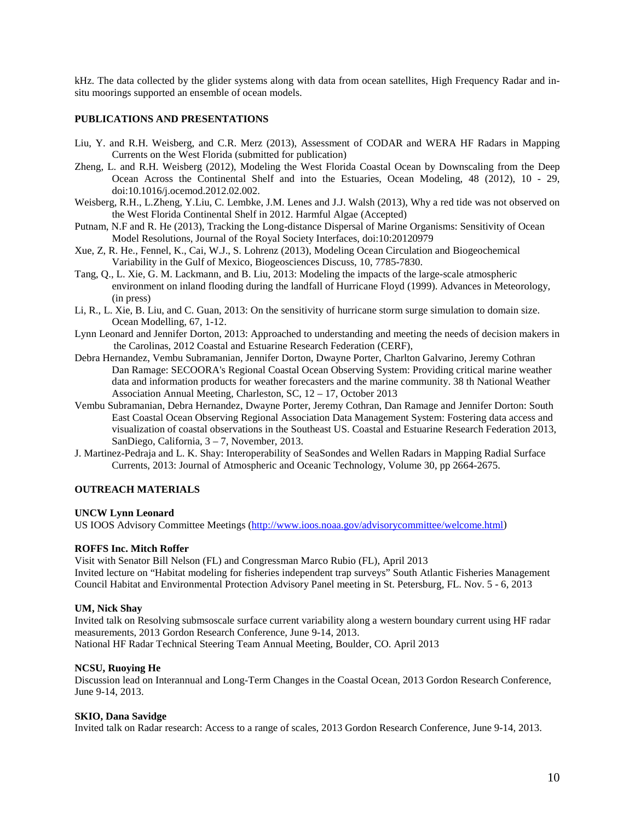kHz. The data collected by the glider systems along with data from ocean satellites, High Frequency Radar and insitu moorings supported an ensemble of ocean models.

# **PUBLICATIONS AND PRESENTATIONS**

- Liu, Y. and R.H. Weisberg, and C.R. Merz (2013), Assessment of CODAR and WERA HF Radars in Mapping Currents on the West Florida (submitted for publication)
- Zheng, L. and R.H. Weisberg (2012), Modeling the West Florida Coastal Ocean by Downscaling from the Deep Ocean Across the Continental Shelf and into the Estuaries, Ocean Modeling, 48 (2012), 10 - 29, doi:10.1016/j.ocemod.2012.02.002.
- Weisberg, R.H., L.Zheng, Y.Liu, C. Lembke, J.M. Lenes and J.J. Walsh (2013), Why a red tide was not observed on the West Florida Continental Shelf in 2012. Harmful Algae (Accepted)
- Putnam, N.F and R. He (2013), Tracking the Long-distance Dispersal of Marine Organisms: Sensitivity of Ocean Model Resolutions, Journal of the Royal Society Interfaces, doi:10:20120979
- Xue, Z, R. He., Fennel, K., Cai, W.J., S. Lohrenz (2013), Modeling Ocean Circulation and Biogeochemical Variability in the Gulf of Mexico, Biogeosciences Discuss, 10, 7785-7830.
- Tang, Q., L. Xie, G. M. Lackmann, and B. Liu, 2013: Modeling the impacts of the large-scale atmospheric environment on inland flooding during the landfall of Hurricane Floyd (1999). Advances in Meteorology, (in press)
- Li, R., L. Xie, B. Liu, and C. Guan, 2013: On the sensitivity of hurricane storm surge simulation to domain size. Ocean Modelling, 67, 1-12.
- Lynn Leonard and Jennifer Dorton, 2013: Approached to understanding and meeting the needs of decision makers in the Carolinas, 2012 Coastal and Estuarine Research Federation (CERF),
- Debra Hernandez, Vembu Subramanian, Jennifer Dorton, Dwayne Porter, Charlton Galvarino, Jeremy Cothran Dan Ramage: SECOORA's Regional Coastal Ocean Observing System: Providing critical marine weather data and information products for weather forecasters and the marine community. 38 th National Weather Association Annual Meeting, Charleston, SC, 12 – 17, October 2013
- Vembu Subramanian, Debra Hernandez, Dwayne Porter, Jeremy Cothran, Dan Ramage and Jennifer Dorton: South East Coastal Ocean Observing Regional Association Data Management System: Fostering data access and visualization of coastal observations in the Southeast US. Coastal and Estuarine Research Federation 2013, SanDiego, California, 3 – 7, November, 2013.
- J. Martinez-Pedraja and L. K. Shay: Interoperability of SeaSondes and Wellen Radars in Mapping Radial Surface Currents, 2013: Journal of Atmospheric and Oceanic Technology, Volume 30, pp 2664-2675.

### **OUTREACH MATERIALS**

### **UNCW Lynn Leonard**

US IOOS Advisory Committee Meetings [\(http://www.ioos.noaa.gov/advisorycommittee/welcome.html\)](http://www.ioos.noaa.gov/advisorycommittee/welcome.html)

### **ROFFS Inc. Mitch Roffer**

Visit with Senator Bill Nelson (FL) and Congressman Marco Rubio (FL), April 2013 Invited lecture on "Habitat modeling for fisheries independent trap surveys" South Atlantic Fisheries Management Council Habitat and Environmental Protection Advisory Panel meeting in St. Petersburg, FL. Nov. 5 - 6, 2013

### **UM, Nick Shay**

Invited talk on Resolving submsoscale surface current variability along a western boundary current using HF radar measurements, 2013 Gordon Research Conference, June 9-14, 2013. National HF Radar Technical Steering Team Annual Meeting, Boulder, CO. April 2013

### **NCSU, Ruoying He**

Discussion lead on Interannual and Long-Term Changes in the Coastal Ocean, 2013 Gordon Research Conference, June 9-14, 2013.

### **SKIO, Dana Savidge**

Invited talk on Radar research: Access to a range of scales, 2013 Gordon Research Conference, June 9-14, 2013.